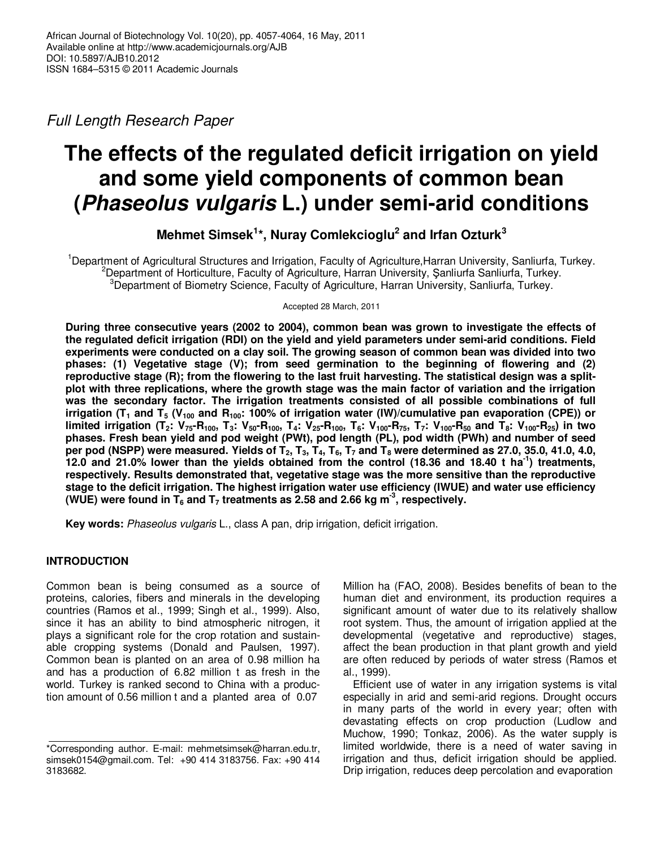Full Length Research Paper

# **The effects of the regulated deficit irrigation on yield and some yield components of common bean (Phaseolus vulgaris L.) under semi-arid conditions**

**Mehmet Simsek<sup>1</sup> \*, Nuray Comlekcioglu<sup>2</sup> and Irfan Ozturk<sup>3</sup>**

<sup>1</sup>Department of Agricultural Structures and Irrigation, Faculty of Agriculture,Harran University, Sanliurfa, Turkey. <sup>2</sup>Department of Horticulture, Faculty of Agriculture, Harran University, Şanliurfa Sanliurfa, Turkey. <sup>3</sup>Department of Biometry Science, Faculty of Agriculture, Harran University, Sanliurfa, Turkey.

Accepted 28 March, 2011

**During three consecutive years (2002 to 2004), common bean was grown to investigate the effects of the regulated deficit irrigation (RDI) on the yield and yield parameters under semi-arid conditions. Field experiments were conducted on a clay soil. The growing season of common bean was divided into two phases: (1) Vegetative stage (V); from seed germination to the beginning of flowering and (2) reproductive stage (R); from the flowering to the last fruit harvesting. The statistical design was a splitplot with three replications, where the growth stage was the main factor of variation and the irrigation was the secondary factor. The irrigation treatments consisted of all possible combinations of full irrigation (T1 and T5 (V100 and R100: 100% of irrigation water (IW)/cumulative pan evaporation (CPE)) or**  limited irrigation (T<sub>2</sub>: V<sub>75</sub>-R<sub>100</sub>, T<sub>3</sub>: V<sub>50</sub>-R<sub>100</sub>, T<sub>4</sub>: V<sub>25</sub>-R<sub>100</sub>, T<sub>6</sub>: V<sub>100</sub>-R<sub>75</sub>, T<sub>7</sub>: V<sub>100</sub>-R<sub>50</sub> and T<sub>8</sub>: V<sub>100</sub>-R<sub>25</sub>) in two **phases. Fresh bean yield and pod weight (PWt), pod length (PL), pod width (PWh) and number of seed per pod (NSPP) were measured. Yields of T2, T3, T4, T6, T7 and T8 were determined as 27.0, 35.0, 41.0, 4.0, 12.0 and 21.0% lower than the yields obtained from the control (18.36 and 18.40 t ha-1) treatments, respectively. Results demonstrated that, vegetative stage was the more sensitive than the reproductive stage to the deficit irrigation. The highest irrigation water use efficiency (IWUE) and water use efficiency**  (WUE) were found in  $T_6$  and  $T_7$  treatments as 2.58 and 2.66 kg m<sup>-3</sup>, respectively.

**Key words:** Phaseolus vulgaris L., class A pan, drip irrigation, deficit irrigation.

# **INTRODUCTION**

Common bean is being consumed as a source of proteins, calories, fibers and minerals in the developing countries (Ramos et al., 1999; Singh et al., 1999). Also, since it has an ability to bind atmospheric nitrogen, it plays a significant role for the crop rotation and sustainable cropping systems (Donald and Paulsen, 1997). Common bean is planted on an area of 0.98 million ha and has a production of 6.82 million t as fresh in the world. Turkey is ranked second to China with a production amount of 0.56 million t and a planted area of 0.07

Million ha (FAO, 2008). Besides benefits of bean to the human diet and environment, its production requires a significant amount of water due to its relatively shallow root system. Thus, the amount of irrigation applied at the developmental (vegetative and reproductive) stages, affect the bean production in that plant growth and yield are often reduced by periods of water stress (Ramos et al., 1999).

Efficient use of water in any irrigation systems is vital especially in arid and semi-arid regions. Drought occurs in many parts of the world in every year; often with devastating effects on crop production (Ludlow and Muchow, 1990; Tonkaz, 2006). As the water supply is limited worldwide, there is a need of water saving in irrigation and thus, deficit irrigation should be applied. Drip irrigation, reduces deep percolation and evaporation

<sup>\*</sup>Corresponding author. E-mail: mehmetsimsek@harran.edu.tr, simsek0154@gmail.com. Tel: +90 414 3183756. Fax: +90 414 3183682.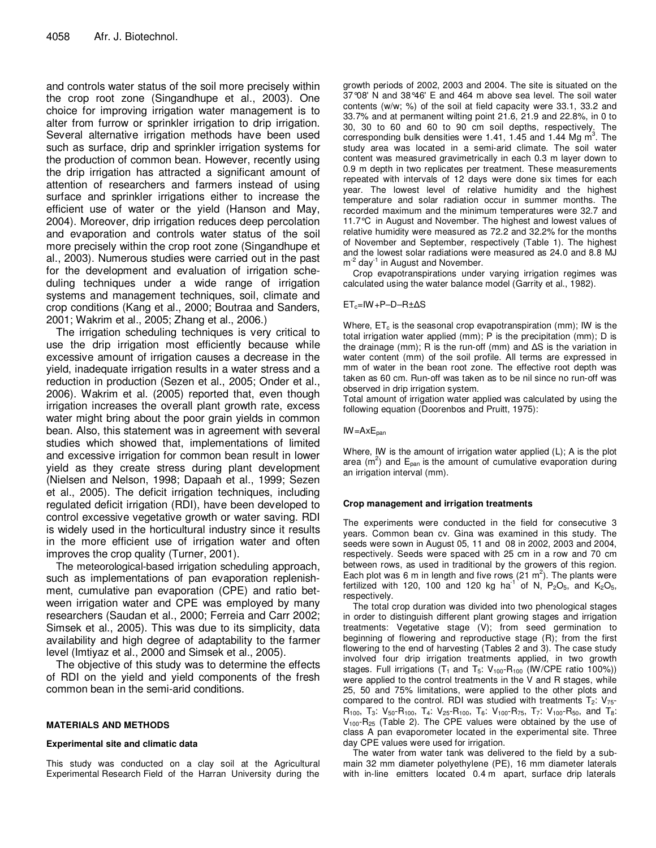and controls water status of the soil more precisely within the crop root zone (Singandhupe et al., 2003). One choice for improving irrigation water management is to alter from furrow or sprinkler irrigation to drip irrigation. Several alternative irrigation methods have been used such as surface, drip and sprinkler irrigation systems for the production of common bean. However, recently using the drip irrigation has attracted a significant amount of attention of researchers and farmers instead of using surface and sprinkler irrigations either to increase the efficient use of water or the yield (Hanson and May, 2004). Moreover, drip irrigation reduces deep percolation and evaporation and controls water status of the soil more precisely within the crop root zone (Singandhupe et al., 2003). Numerous studies were carried out in the past for the development and evaluation of irrigation scheduling techniques under a wide range of irrigation systems and management techniques, soil, climate and crop conditions (Kang et al., 2000; Boutraa and Sanders, 2001; Wakrim et al., 2005; Zhang et al., 2006.)

The irrigation scheduling techniques is very critical to use the drip irrigation most efficiently because while excessive amount of irrigation causes a decrease in the yield, inadequate irrigation results in a water stress and a reduction in production (Sezen et al., 2005; Onder et al., 2006). Wakrim et al. (2005) reported that, even though irrigation increases the overall plant growth rate, excess water might bring about the poor grain yields in common bean. Also, this statement was in agreement with several studies which showed that, implementations of limited and excessive irrigation for common bean result in lower yield as they create stress during plant development (Nielsen and Nelson, 1998; Dapaah et al., 1999; Sezen et al., 2005). The deficit irrigation techniques, including regulated deficit irrigation (RDI), have been developed to control excessive vegetative growth or water saving. RDI is widely used in the horticultural industry since it results in the more efficient use of irrigation water and often improves the crop quality (Turner, 2001).

The meteorological-based irrigation scheduling approach, such as implementations of pan evaporation replenishment, cumulative pan evaporation (CPE) and ratio between irrigation water and CPE was employed by many researchers (Saudan et al., 2000; Ferreia and Carr 2002; Simsek et al., 2005). This was due to its simplicity, data availability and high degree of adaptability to the farmer level (Imtiyaz et al., 2000 and Simsek et al., 2005).

The objective of this study was to determine the effects of RDI on the yield and yield components of the fresh common bean in the semi-arid conditions.

## **MATERIALS AND METHODS**

## **Experimental site and climatic data**

This study was conducted on a clay soil at the Agricultural Experimental Research Field of the Harran University during the

growth periods of 2002, 2003 and 2004. The site is situated on the 37°08' N and 38°46' E and 464 m above sea level. The soil water contents (w/w; %) of the soil at field capacity were 33.1, 33.2 and 33.7% and at permanent wilting point 21.6, 21.9 and 22.8%, in 0 to 30, 30 to 60 and 60 to 90 cm soil depths, respectively. The corresponding bulk densities were 1.41, 1.45 and 1.44 Mg  $m^3$ . The study area was located in a semi-arid climate. The soil water content was measured gravimetrically in each 0.3 m layer down to 0.9 m depth in two replicates per treatment. These measurements repeated with intervals of 12 days were done six times for each year. The lowest level of relative humidity and the highest temperature and solar radiation occur in summer months. The recorded maximum and the minimum temperatures were 32.7 and 11.7°C in August and November. The highest and lowest values of relative humidity were measured as 72.2 and 32.2% for the months of November and September, respectively (Table 1). The highest and the lowest solar radiations were measured as 24.0 and 8.8 MJ m<sup>-2</sup> day<sup>-1</sup> in August and November.

Crop evapotranspirations under varying irrigation regimes was calculated using the water balance model (Garrity et al., 1982).

## ETc=IW+P–D–R±∆S

Where,  $ET_c$  is the seasonal crop evapotranspiration (mm); IW is the total irrigation water applied (mm); P is the precipitation (mm); D is the drainage (mm); R is the run-off (mm) and ∆S is the variation in water content (mm) of the soil profile. All terms are expressed in mm of water in the bean root zone. The effective root depth was taken as 60 cm. Run-off was taken as to be nil since no run-off was observed in drip irrigation system.

Total amount of irrigation water applied was calculated by using the following equation (Doorenbos and Pruitt, 1975):

 $IW = AxE_{pan}$ 

Where, IW is the amount of irrigation water applied (L); A is the plot area ( $m^2$ ) and  $E_{pan}$  is the amount of cumulative evaporation during an irrigation interval (mm).

## **Crop management and irrigation treatments**

The experiments were conducted in the field for consecutive 3 years. Common bean cv. Gina was examined in this study. The seeds were sown in August 05, 11 and 08 in 2002, 2003 and 2004, respectively. Seeds were spaced with 25 cm in a row and 70 cm between rows, as used in traditional by the growers of this region. Each plot was 6 m in length and five rows  $(21 \text{ m}^2)$ . The plants were fertilized with 120, 100 and 120 kg ha<sup>-1</sup> of N,  $P_2O_5$ , and  $K_2O_5$ , respectively.

The total crop duration was divided into two phenological stages in order to distinguish different plant growing stages and irrigation treatments: Vegetative stage (V); from seed germination to beginning of flowering and reproductive stage (R); from the first flowering to the end of harvesting (Tables 2 and 3). The case study involved four drip irrigation treatments applied, in two growth stages. Full irrigations  $(T_1 \text{ and } T_5$ :  $V_{100}$ -R<sub>100</sub> (IW/CPE ratio 100%)) were applied to the control treatments in the V and R stages, while 25, 50 and 75% limitations, were applied to the other plots and compared to the control. RDI was studied with treatments  $T_2$ :  $V_{75}$ - $R_{100}$ , T<sub>3</sub>: V<sub>50</sub>-R<sub>100</sub>, T<sub>4</sub>: V<sub>25</sub>-R<sub>100</sub>, T<sub>6</sub>: V<sub>100</sub>-R<sub>75</sub>, T<sub>7</sub>: V<sub>100</sub>-R<sub>50</sub>, and T<sub>8</sub>:  $V_{100}$ -R<sub>25</sub> (Table 2). The CPE values were obtained by the use of class A pan evaporometer located in the experimental site. Three day CPE values were used for irrigation.

The water from water tank was delivered to the field by a submain 32 mm diameter polyethylene (PE), 16 mm diameter laterals with in-line emitters located 0.4 m apart, surface drip laterals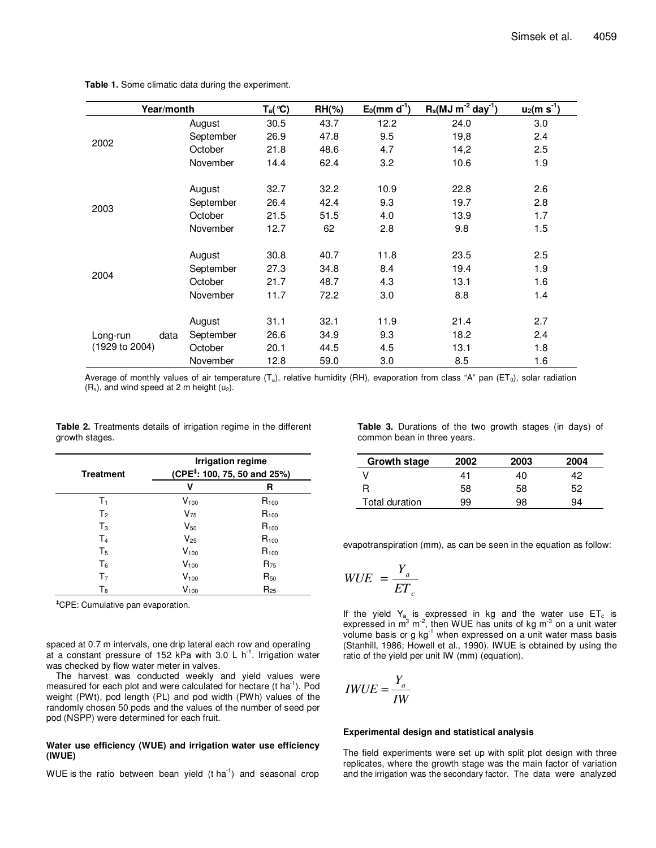| Year/month                         |           | $T_a$ (°C) | $RH(\% )$ | $E_0$ (mm d <sup>-1</sup> ) | $R_s(MJ\,m^{-2}\,day^{-1})$ | $u_2$ (m s <sup>-1</sup> ) |
|------------------------------------|-----------|------------|-----------|-----------------------------|-----------------------------|----------------------------|
|                                    | August    | 30.5       | 43.7      | 12.2                        | 24.0                        | 3.0                        |
| 2002                               | September | 26.9       | 47.8      | 9.5                         | 19,8                        | 2.4                        |
|                                    | October   | 21.8       | 48.6      | 4.7                         | 14,2                        | 2.5                        |
|                                    | November  | 14.4       | 62.4      | 3.2                         | 10.6                        | 1.9                        |
|                                    | August    | 32.7       | 32.2      | 10.9                        | 22.8                        | 2.6                        |
|                                    | September | 26.4       | 42.4      | 9.3                         | 19.7                        | 2.8                        |
| 2003                               | October   | 21.5       | 51.5      | 4.0                         | 13.9                        | 1.7                        |
|                                    | November  | 12.7       | 62        | 2.8                         | 9.8                         | 1.5                        |
|                                    | August    | 30.8       | 40.7      | 11.8                        | 23.5                        | 2.5                        |
|                                    | September | 27.3       | 34.8      | 8.4                         | 19.4                        | 1.9                        |
| 2004                               | October   | 21.7       | 48.7      | 4.3                         | 13.1                        | 1.6                        |
|                                    | November  | 11.7       | 72.2      | 3.0                         | 8.8                         | 1.4                        |
|                                    | August    | 31.1       | 32.1      | 11.9                        | 21.4                        | 2.7                        |
| Long-run<br>data<br>(1929 to 2004) | September | 26.6       | 34.9      | 9.3                         | 18.2                        | 2.4                        |
|                                    | October   | 20.1       | 44.5      | 4.5                         | 13.1                        | 1.8                        |
|                                    | November  | 12.8       | 59.0      | 3.0                         | 8.5                         | 1.6                        |

**Table 1.** Some climatic data during the experiment.

Average of monthly values of air temperature  $(T_a)$ , relative humidity (RH), evaporation from class "A" pan (ET<sub>0</sub>), solar radiation  $(R_s)$ , and wind speed at 2 m height  $(u_2)$ .

| <b>Table 2.</b> Treatments details of irrigation regime in the different |  |  |  |
|--------------------------------------------------------------------------|--|--|--|
| growth stages.                                                           |  |  |  |

| <b>Treatment</b> | <b>Irrigation regime</b><br>(CPE <sup>‡</sup> : 100, 75, 50 and 25%) |           |  |  |  |
|------------------|----------------------------------------------------------------------|-----------|--|--|--|
|                  | ν                                                                    | R         |  |  |  |
| $T_1$            | $V_{100}$                                                            | $R_{100}$ |  |  |  |
| $T_{2}$          | $V_{75}$                                                             | $R_{100}$ |  |  |  |
| $T_3$            | $V_{50}$                                                             | $R_{100}$ |  |  |  |
| T <sub>4</sub>   | $V_{25}$                                                             | $R_{100}$ |  |  |  |
| T <sub>5</sub>   | $V_{100}$                                                            | $R_{100}$ |  |  |  |
| Τ <sub>ε</sub>   | $V_{100}$                                                            | $R_{75}$  |  |  |  |
| T <sub>7</sub>   | $V_{100}$                                                            | $R_{50}$  |  |  |  |
| $T_8$            | $V_{100}$                                                            | $R_{25}$  |  |  |  |

‡CPE: Cumulative pan evaporation.

spaced at 0.7 m intervals, one drip lateral each row and operating at a constant pressure of 152 kPa with 3.0 L  $h^{-1}$ . Irrigation water was checked by flow water meter in valves.

The harvest was conducted weekly and yield values were measured for each plot and were calculated for hectare  $(t \text{ ha}^{-1})$ . Pod weight (PWt), pod length (PL) and pod width (PWh) values of the randomly chosen 50 pods and the values of the number of seed per pod (NSPP) were determined for each fruit.

## **Water use efficiency (WUE) and irrigation water use efficiency (IWUE)**

WUE is the ratio between bean yield  $(t \text{ ha}^{-1})$  and seasonal crop

**Table 3.** Durations of the two growth stages (in days) of common bean in three years.

| Growth stage   | 2002 | 2003 | 2004 |
|----------------|------|------|------|
|                | 41   | 40   | 42   |
| R              | 58   | 58   | 52   |
| Total duration | 99   | 98   | 94   |

evapotranspiration (mm), as can be seen in the equation as follow:

$$
WUE = \frac{Y_a}{ET_c}
$$

If the yield  $Y_a$  is expressed in kg and the water use  $ET_c$  is expressed in m<sup>3</sup> m<sup>-2</sup>, then WUE has units of kg m<sup>-3</sup> on a unit water volume basis or  $g$  kg<sup>-1</sup> when expressed on a unit water mass basis (Stanhill, 1986; Howell et al., 1990). IWUE is obtained by using the ratio of the yield per unit IW (mm) (equation).

$$
IWUE = \frac{Y_a}{IW}
$$

#### **Experimental design and statistical analysis**

The field experiments were set up with split plot design with three replicates, where the growth stage was the main factor of variation and the irrigation was the secondary factor. The data were analyzed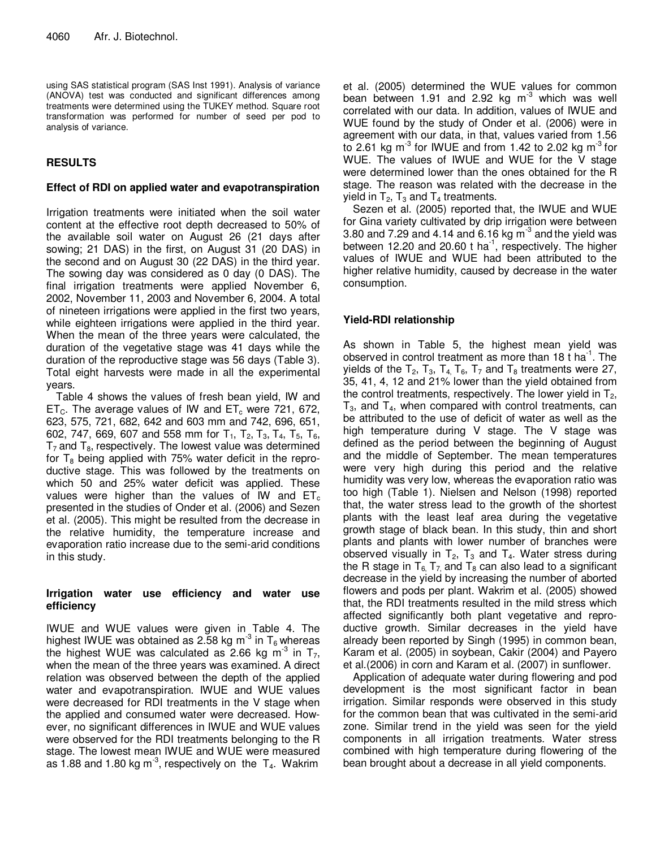using SAS statistical program (SAS Inst 1991). Analysis of variance (ANOVA) test was conducted and significant differences among treatments were determined using the TUKEY method. Square root transformation was performed for number of seed per pod to analysis of variance.

# **RESULTS**

## **Effect of RDI on applied water and evapotranspiration**

Irrigation treatments were initiated when the soil water content at the effective root depth decreased to 50% of the available soil water on August 26 (21 days after sowing; 21 DAS) in the first, on August 31 (20 DAS) in the second and on August 30 (22 DAS) in the third year. The sowing day was considered as 0 day (0 DAS). The final irrigation treatments were applied November 6, 2002, November 11, 2003 and November 6, 2004. A total of nineteen irrigations were applied in the first two years, while eighteen irrigations were applied in the third year. When the mean of the three years were calculated, the duration of the vegetative stage was 41 days while the duration of the reproductive stage was 56 days (Table 3). Total eight harvests were made in all the experimental years.

Table 4 shows the values of fresh bean yield, IW and  $ET_c$ . The average values of IW and  $ET_c$  were 721, 672, 623, 575, 721, 682, 642 and 603 mm and 742, 696, 651, 602, 747, 669, 607 and 558 mm for  $T_1$ ,  $T_2$ ,  $T_3$ ,  $T_4$ ,  $T_5$ ,  $T_6$ ,  $T_7$  and  $T_8$ , respectively. The lowest value was determined for  $T_8$  being applied with 75% water deficit in the reproductive stage. This was followed by the treatments on which 50 and 25% water deficit was applied. These values were higher than the values of IW and  $ET_c$ presented in the studies of Onder et al. (2006) and Sezen et al. (2005). This might be resulted from the decrease in the relative humidity, the temperature increase and evaporation ratio increase due to the semi-arid conditions in this study.

# **Irrigation water use efficiency and water use efficiency**

IWUE and WUE values were given in Table 4. The highest IWUE was obtained as 2.58 kg m<sup>-3</sup> in  $T_6$  whereas the highest WUE was calculated as 2.66 kg m<sup>-3</sup> in  $T_7$ , when the mean of the three years was examined. A direct relation was observed between the depth of the applied water and evapotranspiration. IWUE and WUE values were decreased for RDI treatments in the V stage when the applied and consumed water were decreased. However, no significant differences in IWUE and WUE values were observed for the RDI treatments belonging to the R stage. The lowest mean IWUE and WUE were measured as 1.88 and 1.80 kg  $m<sup>3</sup>$ , respectively on the  $T<sub>4</sub>$ . Wakrim

et al. (2005) determined the WUE values for common bean between 1.91 and 2.92 kg  $m<sup>3</sup>$  which was well correlated with our data. In addition, values of IWUE and WUE found by the study of Onder et al. (2006) were in agreement with our data, in that, values varied from 1.56 to 2.61 kg m<sup>-3</sup> for IWUE and from 1.42 to 2.02 kg m<sup>-3</sup> for WUE. The values of IWUE and WUE for the V stage were determined lower than the ones obtained for the R stage. The reason was related with the decrease in the yield in  $T_2$ ,  $T_3$  and  $T_4$  treatments.

Sezen et al. (2005) reported that, the IWUE and WUE for Gina variety cultivated by drip irrigation were between 3.80 and 7.29 and 4.14 and 6.16 kg  $m<sup>3</sup>$  and the yield was between 12.20 and 20.60 t ha<sup>-1</sup>, respectively. The higher values of IWUE and WUE had been attributed to the higher relative humidity, caused by decrease in the water consumption.

# **Yield-RDI relationship**

As shown in Table 5, the highest mean yield was observed in control treatment as more than 18 t ha<sup>-1</sup>. The yields of the  $T_2$ ,  $T_3$ ,  $T_4$ ,  $T_6$ ,  $T_7$  and  $T_8$  treatments were 27, 35, 41, 4, 12 and 21% lower than the yield obtained from the control treatments, respectively. The lower yield in  $T_2$ ,  $T_3$ , and  $T_4$ , when compared with control treatments, can be attributed to the use of deficit of water as well as the high temperature during V stage. The V stage was defined as the period between the beginning of August and the middle of September. The mean temperatures were very high during this period and the relative humidity was very low, whereas the evaporation ratio was too high (Table 1). Nielsen and Nelson (1998) reported that, the water stress lead to the growth of the shortest plants with the least leaf area during the vegetative growth stage of black bean. In this study, thin and short plants and plants with lower number of branches were observed visually in  $T_2$ ,  $T_3$  and  $T_4$ . Water stress during the R stage in  $T_6$ ,  $T_7$  and  $T_8$  can also lead to a significant decrease in the yield by increasing the number of aborted flowers and pods per plant. Wakrim et al. (2005) showed that, the RDI treatments resulted in the mild stress which affected significantly both plant vegetative and reproductive growth. Similar decreases in the yield have already been reported by Singh (1995) in common bean, Karam et al. (2005) in soybean, Cakir (2004) and Payero et al.(2006) in corn and Karam et al. (2007) in sunflower.

Application of adequate water during flowering and pod development is the most significant factor in bean irrigation. Similar responds were observed in this study for the common bean that was cultivated in the semi-arid zone. Similar trend in the yield was seen for the yield components in all irrigation treatments. Water stress combined with high temperature during flowering of the bean brought about a decrease in all yield components.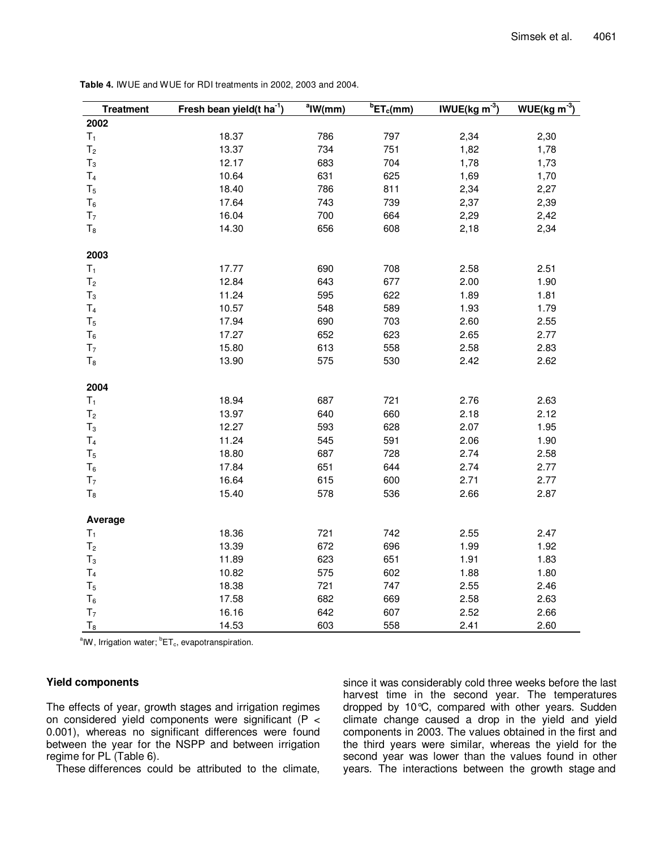| <b>Treatment</b> | Fresh bean yield(t ha <sup>-1</sup> ) | $a$ IW(mm) | ${}^{b}ET_{c}(mm)$ | IWUE( $kg \, \text{m}^{-3}$ ) | $WUE(kg m-3)$ |
|------------------|---------------------------------------|------------|--------------------|-------------------------------|---------------|
| 2002             |                                       |            |                    |                               |               |
| $T_1$            | 18.37                                 | 786        | 797                | 2,34                          | 2,30          |
| T <sub>2</sub>   | 13.37                                 | 734        | 751                | 1,82                          | 1,78          |
| $T_3$            | 12.17                                 | 683        | 704                | 1,78                          | 1,73          |
| T <sub>4</sub>   | 10.64                                 | 631        | 625                | 1,69                          | 1,70          |
| $T_5$            | 18.40                                 | 786        | 811                | 2,34                          | 2,27          |
| $T_6$            | 17.64                                 | 743        | 739                | 2,37                          | 2,39          |
| T <sub>7</sub>   | 16.04                                 | 700        | 664                | 2,29                          | 2,42          |
| $T_8$            | 14.30                                 | 656        | 608                | 2,18                          | 2,34          |
| 2003             |                                       |            |                    |                               |               |
| $T_1$            | 17.77                                 | 690        | 708                | 2.58                          | 2.51          |
| T <sub>2</sub>   | 12.84                                 | 643        | 677                | 2.00                          | 1.90          |
| $T_3$            | 11.24                                 | 595        | 622                | 1.89                          | 1.81          |
| T <sub>4</sub>   | 10.57                                 | 548        | 589                | 1.93                          | 1.79          |
| T <sub>5</sub>   | 17.94                                 | 690        | 703                | 2.60                          | 2.55          |
| $T_6$            | 17.27                                 | 652        | 623                | 2.65                          | 2.77          |
| T <sub>7</sub>   | 15.80                                 | 613        | 558                | 2.58                          | 2.83          |
| $T_8$            | 13.90                                 | 575        | 530                | 2.42                          | 2.62          |
| 2004             |                                       |            |                    |                               |               |
| $T_1$            | 18.94                                 | 687        | 721                | 2.76                          | 2.63          |
| T <sub>2</sub>   | 13.97                                 | 640        | 660                | 2.18                          | 2.12          |
| $T_3$            | 12.27                                 | 593        | 628                | 2.07                          | 1.95          |
| T <sub>4</sub>   | 11.24                                 | 545        | 591                | 2.06                          | 1.90          |
| T <sub>5</sub>   | 18.80                                 | 687        | 728                | 2.74                          | 2.58          |
| $T_6$            | 17.84                                 | 651        | 644                | 2.74                          | 2.77          |
| T <sub>7</sub>   | 16.64                                 | 615        | 600                | 2.71                          | 2.77          |
| $T_8$            | 15.40                                 | 578        | 536                | 2.66                          | 2.87          |
| Average          |                                       |            |                    |                               |               |
| $T_1$            | 18.36                                 | 721        | 742                | 2.55                          | 2.47          |
| T <sub>2</sub>   | 13.39                                 | 672        | 696                | 1.99                          | 1.92          |
| $T_3$            | 11.89                                 | 623        | 651                | 1.91                          | 1.83          |
| T <sub>4</sub>   | 10.82                                 | 575        | 602                | 1.88                          | 1.80          |
| $T_5$            | 18.38                                 | 721        | 747                | 2.55                          | 2.46          |
| T <sub>6</sub>   | 17.58                                 | 682        | 669                | 2.58                          | 2.63          |
| T <sub>7</sub>   | 16.16                                 | 642        | 607                | 2.52                          | 2.66          |
| $\mathsf{T}_8$   | 14.53                                 | 603        | 558                | 2.41                          | 2.60          |

**Table 4.** IWUE and WUE for RDI treatments in 2002, 2003 and 2004.

<sup>a</sup>IW, Irrigation water; <sup>b</sup>ET<sub>c</sub>, evapotranspiration.

# **Yield components**

The effects of year, growth stages and irrigation regimes on considered yield components were significant (P < 0.001), whereas no significant differences were found between the year for the NSPP and between irrigation regime for PL (Table 6).

These differences could be attributed to the climate,

since it was considerably cold three weeks before the last harvest time in the second year. The temperatures dropped by 10°C, compared with other years. Sudden climate change caused a drop in the yield and yield components in 2003. The values obtained in the first and the third years were similar, whereas the yield for the second year was lower than the values found in other years. The interactions between the growth stage and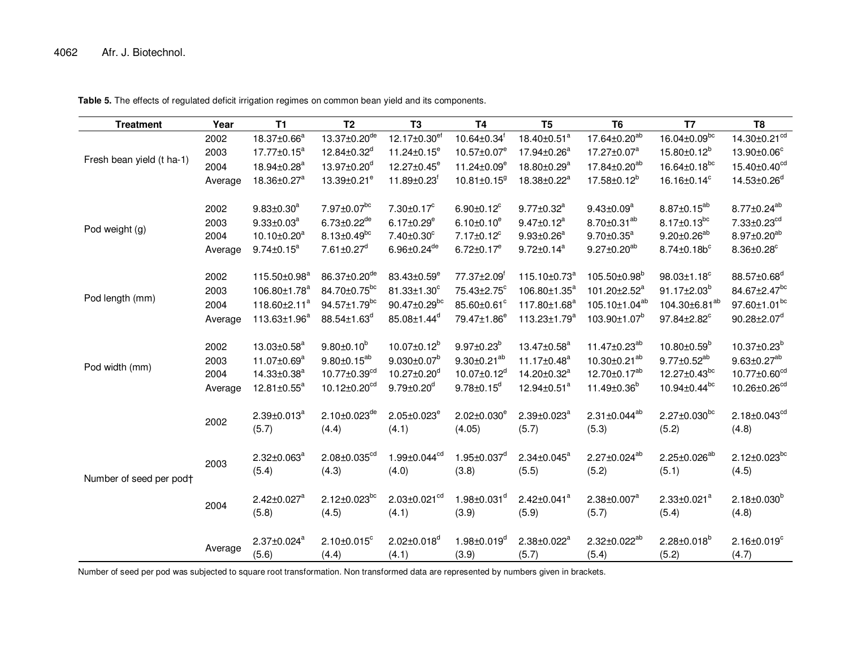| <b>Treatment</b>          | Year                            | <b>T1</b>                                                                                                    | T <sub>2</sub>                                                                                          | T <sub>3</sub>                                                                                 | T <sub>4</sub>                                                                                  | T <sub>5</sub>                                                                                               | T <sub>6</sub>                                                                                                | T7                                                                                                    | T <sub>8</sub>                                                                                       |
|---------------------------|---------------------------------|--------------------------------------------------------------------------------------------------------------|---------------------------------------------------------------------------------------------------------|------------------------------------------------------------------------------------------------|-------------------------------------------------------------------------------------------------|--------------------------------------------------------------------------------------------------------------|---------------------------------------------------------------------------------------------------------------|-------------------------------------------------------------------------------------------------------|------------------------------------------------------------------------------------------------------|
|                           | 2002                            | 18.37±0.66 <sup>a</sup>                                                                                      | $13.37 \pm 0.20^{de}$                                                                                   | 12.17±0.30 <sup>ef</sup>                                                                       | $10.64 \pm 0.34$ <sup>f</sup>                                                                   | $18.40 \pm 0.51^a$                                                                                           | 17.64±0.20 <sup>ab</sup>                                                                                      | $16.04 \pm 0.09^{bc}$                                                                                 | $14.30 \pm 0.21$ <sup>cd</sup>                                                                       |
|                           | 2003                            | $17.77 \pm 0.15^a$                                                                                           | 12.84±0.32 <sup>d</sup>                                                                                 | $11.24 \pm 0.15^e$                                                                             | 10.57±0.07 <sup>e</sup>                                                                         | 17.94±0.26 <sup>a</sup>                                                                                      | 17.27±0.07 <sup>a</sup>                                                                                       | 15.80±0.12 <sup>b</sup>                                                                               | 13.90±0.06°                                                                                          |
| Fresh bean yield (t ha-1) | 2004                            | 18.94±0.28 <sup>a</sup>                                                                                      | 13.97±0.20 <sup>d</sup>                                                                                 | 12.27±0.45 <sup>e</sup>                                                                        | 11.24±0.09 <sup>e</sup>                                                                         | 18.80±0.29 <sup>a</sup>                                                                                      | 17.84±0.20 <sup>ab</sup>                                                                                      | 16.64±0.18 <sup>bc</sup>                                                                              | 15.40±0.40 <sup>cd</sup>                                                                             |
|                           | Average                         | 18.36±0.27 <sup>a</sup>                                                                                      | 13.39±0.21 <sup>e</sup>                                                                                 | $11.89 \pm 0.23$ <sup>f</sup>                                                                  | $10.81 \pm 0.15$ <sup>g</sup>                                                                   | 18.38±0.22 <sup>a</sup>                                                                                      | $17.58 \pm 0.12^b$                                                                                            | 16.16±0.14°                                                                                           | $14.53 \pm 0.26$ <sup>d</sup>                                                                        |
|                           | 2002<br>2003                    | $9.83 \pm 0.30^a$<br>$9.33 \pm 0.03^a$                                                                       | 7.97±0.07 <sup>bc</sup><br>$6.73 \pm 0.22$ <sup>de</sup>                                                | $7.30 \pm 0.17^c$<br>$6.17 \pm 0.29^e$                                                         | $6.90 \pm 0.12$ <sup>c</sup><br>$6.10 \pm 0.10^e$                                               | $9.77 \pm 0.32^a$<br>$9.47 \pm 0.12^a$                                                                       | $9.43 \pm 0.09^a$<br>8.70±0.31 <sup>ab</sup>                                                                  | $8.87 \pm 0.15^{ab}$<br>$8.17 \pm 0.13^{bc}$                                                          | 8.77±0.24 <sup>ab</sup><br>7.33±0.23 <sup>cd</sup>                                                   |
| Pod weight (g)            | 2004                            | 10.10±0.20 <sup>a</sup>                                                                                      | $8.13 \pm 0.49$ <sup>bc</sup>                                                                           | 7.40±0.30°                                                                                     | $7.17 \pm 0.12$ <sup>c</sup>                                                                    | $9.93 \pm 0.26^a$                                                                                            | $9.70 \pm 0.35^a$                                                                                             | $9.20 \pm 0.26^{ab}$                                                                                  | 8.97±0.20 <sup>ab</sup>                                                                              |
|                           | Average                         | $9.74 \pm 0.15^a$                                                                                            | $7.61 \pm 0.27$ <sup>d</sup>                                                                            | $6.96 \pm 0.24^{de}$                                                                           | $6.72 \pm 0.17^e$                                                                               | $9.72 \pm 0.14^a$                                                                                            | $9.27 \pm 0.20^{ab}$                                                                                          | $8.74 \pm 0.18 b^c$                                                                                   | $8.36 \pm 0.28$ <sup>c</sup>                                                                         |
| Pod length (mm)           | 2002<br>2003<br>2004<br>Average | 115.50±0.98 <sup>a</sup><br>106.80±1.78 <sup>a</sup><br>118.60±2.11 <sup>a</sup><br>113.63±1.96 <sup>a</sup> | 86.37±0.20 <sup>de</sup><br>84.70±0.75 <sup>bc</sup><br>94.57±1.79bc<br>88.54±1.63 <sup>d</sup>         | 83.43±0.59 <sup>e</sup><br>81.33±1.30°<br>90.47±0.29bc<br>85.08±1.44 <sup>d</sup>              | 77.37±2.09 <sup>f</sup><br>75.43±2.75 <sup>c</sup><br>85.60±0.61°<br>79.47±1.86 <sup>e</sup>    | 115.10±0.73 <sup>a</sup><br>106.80±1.35 <sup>a</sup><br>117.80±1.68 <sup>a</sup><br>113.23±1.79 <sup>a</sup> | 105.50±0.98 <sup>b</sup><br>101.20±2.52 <sup>a</sup><br>105.10±1.04 <sup>ab</sup><br>103.90±1.07 <sup>b</sup> | 98.03±1.18 <sup>c</sup><br>$91.17 \pm 2.03^b$<br>104.30±6.81 <sup>ab</sup><br>97.84±2.82 <sup>c</sup> | 88.57±0.68 <sup>d</sup><br>84.67±2.47 <sup>bc</sup><br>97.60±1.01bc<br>$90.28 \pm 2.07$ <sup>d</sup> |
| Pod width (mm)            | 2002<br>2003<br>2004<br>Average | 13.03±0.58 <sup>a</sup><br>11.07 $\pm$ 0.69 $^{\circ}$<br>14.33±0.38 <sup>a</sup><br>$12.81 \pm 0.55^a$      | $9.80 \pm 0.10^b$<br>$9.80 \pm 0.15^{ab}$<br>10.77±0.39 <sup>cd</sup><br>$10.12 \pm 0.20$ <sup>cd</sup> | $10.07 \pm 0.12^b$<br>$9.030 \pm 0.07^b$<br>$10.27 \pm 0.20$ <sup>d</sup><br>$9.79 \pm 0.20^d$ | $9.97 \pm 0.23^b$<br>$9.30 \pm 0.21^{ab}$<br>$10.07 \pm 0.12$ <sup>d</sup><br>$9.78 \pm 0.15^d$ | 13.47±0.58 <sup>a</sup><br>$11.17 \pm 0.48^a$<br>14.20±0.32 <sup>a</sup><br>12.94±0.51 <sup>a</sup>          | 11.47±0.23 <sup>ab</sup><br>10.30 $\pm$ 0.21 <sup>ab</sup><br>12.70±0.17 <sup>ab</sup><br>$11.49 \pm 0.36^b$  | $10.80 \pm 0.59^b$<br>$9.77 \pm 0.52^{ab}$<br>12.27±0.43bc<br>$10.94 \pm 0.44$ <sup>bc</sup>          | $10.37 \pm 0.23^b$<br>$9.63 \pm 0.27^{ab}$<br>10.77±0.60 <sup>cd</sup><br>10.26±0.26 <sup>cd</sup>   |
|                           | 2002                            | $2.39 \pm 0.013^a$<br>(5.7)                                                                                  | $2.10 \pm 0.023$ <sup>de</sup><br>(4.4)                                                                 | $2.05 \pm 0.023^e$<br>(4.1)                                                                    | $2.02 \pm 0.030^{\circ}$<br>(4.05)                                                              | $2.39 \pm 0.023^a$<br>(5.7)                                                                                  | $2.31 \pm 0.044^{ab}$<br>(5.3)                                                                                | $2.27 \pm 0.030^{bc}$<br>(5.2)                                                                        | $2.18 \pm 0.043^{cd}$<br>(4.8)                                                                       |
| Number of seed per pod†   | 2003                            | $2.32 \pm 0.063^a$<br>(5.4)                                                                                  | $2.08 \pm 0.035^{cd}$<br>(4.3)                                                                          | $1.99 \pm 0.044^{cd}$<br>(4.0)                                                                 | $1.95 \pm 0.037$ <sup>d</sup><br>(3.8)                                                          | $2.34 \pm 0.045^a$<br>(5.5)                                                                                  | 2.27±0.024 <sup>ab</sup><br>(5.2)                                                                             | 2.25±0.026 <sup>ab</sup><br>(5.1)                                                                     | $2.12 \pm 0.023$ <sup>bc</sup><br>(4.5)                                                              |
|                           | 2004                            | $2.42 \pm 0.027$ <sup>a</sup><br>(5.8)                                                                       | $2.12 \pm 0.023$ bc<br>(4.5)                                                                            | $2.03 \pm 0.021$ <sup>cd</sup><br>(4.1)                                                        | $1.98 \pm 0.031$ <sup>d</sup><br>(3.9)                                                          | 2.42±0.041 <sup>a</sup><br>(5.9)                                                                             | $2.38 \pm 0.007^a$<br>(5.7)                                                                                   | $2.33 \pm 0.021^a$<br>(5.4)                                                                           | $2.18 \pm 0.030^{b}$<br>(4.8)                                                                        |
|                           | Average                         | 2.37±0.024 <sup>a</sup><br>(5.6)                                                                             | $2.10 \pm 0.015$ <sup>c</sup><br>(4.4)                                                                  | $2.02 \pm 0.018$ <sup>d</sup><br>(4.1)                                                         | $1.98 \pm 0.019$ <sup>d</sup><br>(3.9)                                                          | 2.38±0.022 <sup>a</sup><br>(5.7)                                                                             | 2.32±0.022 <sup>ab</sup><br>(5.4)                                                                             | $2.28 \pm 0.018^{b}$<br>(5.2)                                                                         | $2.16 \pm 0.019$ <sup>c</sup><br>(4.7)                                                               |

**Table 5.** The effects of regulated deficit irrigation regimes on common bean yield and its components.

Number of seed per pod was subjected to square root transformation. Non transformed data are represented by numbers given in brackets.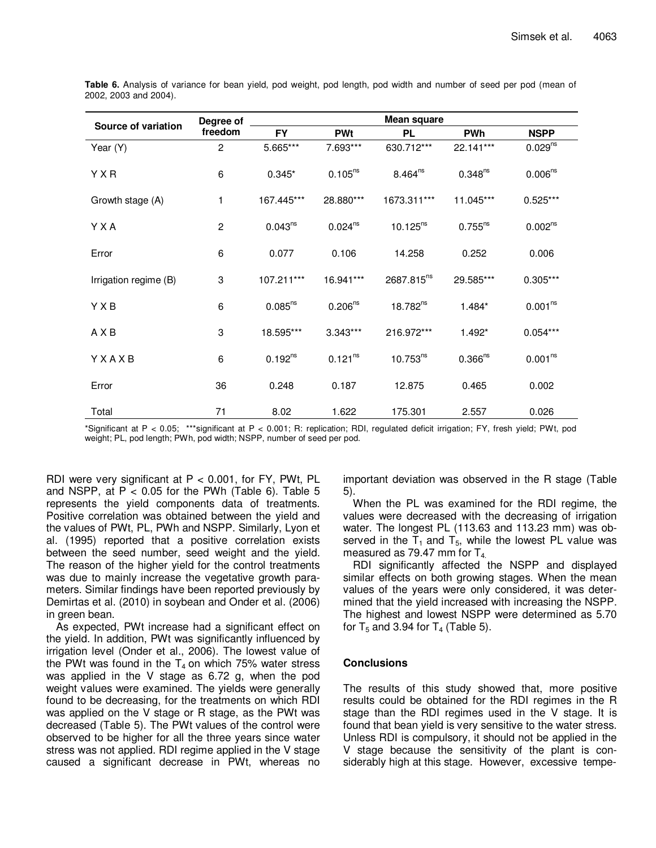| Source of variation   | Degree of      | Mean square  |                     |                        |                       |                     |  |  |  |
|-----------------------|----------------|--------------|---------------------|------------------------|-----------------------|---------------------|--|--|--|
|                       | freedom        | <b>FY</b>    | <b>PWt</b>          | <b>PL</b>              | <b>PWh</b>            | <b>NSPP</b>         |  |  |  |
| Year (Y)              | $\overline{c}$ | 5.665***     | 7.693***            | 630.712***             | 22.141***             | $0.029^{ns}$        |  |  |  |
| <b>Y X R</b>          | 6              | $0.345*$     | $0.105^{ns}$        | $8.464^{ns}$           | $0.348^{ns}$          | 0.006 <sup>ns</sup> |  |  |  |
| Growth stage (A)      | 1              | 167.445***   | 28.880***           | 1673.311***            | 11.045***             | $0.525***$          |  |  |  |
| Y X A                 | $\overline{c}$ | $0.043^{ns}$ | $0.024^{ns}$        | $10.125^{ns}$          | $0.755^{ns}$          | 0.002 <sup>ns</sup> |  |  |  |
| Error                 | 6              | 0.077        | 0.106               | 14.258                 | 0.252                 | 0.006               |  |  |  |
| Irrigation regime (B) | 3              | 107.211***   | 16.941***           | 2687.815 <sup>ns</sup> | 29.585***             | $0.305***$          |  |  |  |
| YXB                   | 6              | $0.085^{ns}$ | 0.206 <sup>ns</sup> | $18.782^{ns}$          | $1.484*$              | 0.001 <sup>ns</sup> |  |  |  |
| A X B                 | 3              | 18.595***    | $3.343***$          | 216.972***             | $1.492*$              | $0.054***$          |  |  |  |
| YXAXB                 | 6              | $0.192^{ns}$ | 0.121 <sup>ns</sup> | $10.753^{ns}$          | $0.366$ <sup>ns</sup> | 0.001 <sup>ns</sup> |  |  |  |
| Error                 | 36             | 0.248        | 0.187               | 12.875                 | 0.465                 | 0.002               |  |  |  |
| Total                 | 71             | 8.02         | 1.622               | 175.301                | 2.557                 | 0.026               |  |  |  |

**Table 6.** Analysis of variance for bean yield, pod weight, pod length, pod width and number of seed per pod (mean of 2002, 2003 and 2004).

\*Significant at P < 0.05; \*\*\*significant at P < 0.001; R: replication; RDI, regulated deficit irrigation; FY, fresh yield; PWt, pod weight; PL, pod length; PWh, pod width; NSPP, number of seed per pod.

RDI were very significant at  $P < 0.001$ , for FY, PWt, PL and NSPP, at  $P < 0.05$  for the PWh (Table 6). Table 5 represents the yield components data of treatments. Positive correlation was obtained between the yield and the values of PWt, PL, PWh and NSPP. Similarly, Lyon et al. (1995) reported that a positive correlation exists between the seed number, seed weight and the yield. The reason of the higher yield for the control treatments was due to mainly increase the vegetative growth parameters. Similar findings have been reported previously by Demirtas et al. (2010) in soybean and Onder et al. (2006) in green bean.

As expected, PWt increase had a significant effect on the yield. In addition, PWt was significantly influenced by irrigation level (Onder et al., 2006). The lowest value of the PWt was found in the  $T_4$  on which 75% water stress was applied in the V stage as 6.72 g, when the pod weight values were examined. The yields were generally found to be decreasing, for the treatments on which RDI was applied on the V stage or R stage, as the PWt was decreased (Table 5). The PWt values of the control were observed to be higher for all the three years since water stress was not applied. RDI regime applied in the V stage caused a significant decrease in PWt, whereas no important deviation was observed in the R stage (Table 5).

When the PL was examined for the RDI regime, the values were decreased with the decreasing of irrigation water. The longest PL (113.63 and 113.23 mm) was observed in the  $T_1$  and  $T_5$ , while the lowest PL value was measured as 79.47 mm for  $T_{4}$ .

RDI significantly affected the NSPP and displayed similar effects on both growing stages. When the mean values of the years were only considered, it was determined that the yield increased with increasing the NSPP. The highest and lowest NSPP were determined as 5.70 for  $T_5$  and 3.94 for  $T_4$  (Table 5).

# **Conclusions**

The results of this study showed that, more positive results could be obtained for the RDI regimes in the R stage than the RDI regimes used in the V stage. It is found that bean yield is very sensitive to the water stress. Unless RDI is compulsory, it should not be applied in the V stage because the sensitivity of the plant is considerably high at this stage. However, excessive tempe